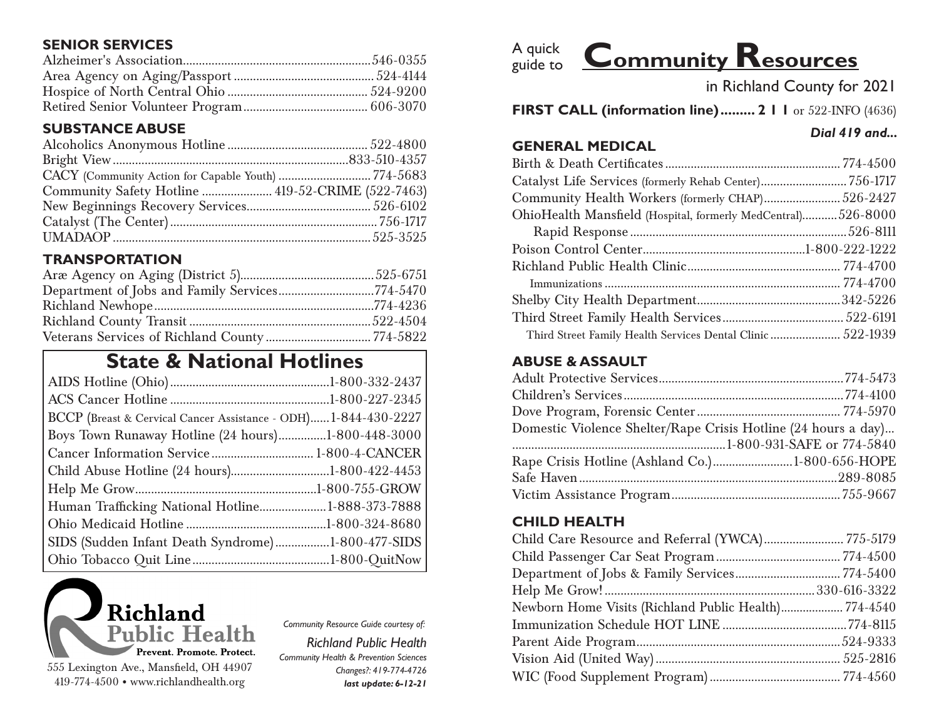# **SENIOR SERVICES**

# **SUBSTANCE ABUSE**

| Community Safety Hotline  419-52-CRIME (522-7463) |  |
|---------------------------------------------------|--|
|                                                   |  |
|                                                   |  |
|                                                   |  |

# **TRANSPORTATION**

# **State & National Hotlines**

| BCCP (Breast & Cervical Cancer Assistance - ODH) 1-844-430-2227 |  |
|-----------------------------------------------------------------|--|
| Boys Town Runaway Hotline (24 hours)1-800-448-3000              |  |
| Cancer Information Service  1-800-4-CANCER                      |  |
| Child Abuse Hotline (24 hours)1-800-422-4453                    |  |
|                                                                 |  |
| Human Trafficking National Hotline1-888-373-7888                |  |
|                                                                 |  |
| SIDS (Sudden Infant Death Syndrome)1-800-477-SIDS               |  |
|                                                                 |  |



*Community Resource Guide courtesy of:*

*Richland Public Health Community Health & Prevention Sciences Changes?: 419-774-4726 last update: 6-12-21*



in Richland County for 2021

*Dial 419 and...*

**FIRST CALL (information line)......... 2 1 1** or 522-INFO (4636)

#### **GENERAL MEDICAL**

| Catalyst Life Services (formerly Rehab Center)756-1717       |  |
|--------------------------------------------------------------|--|
| Community Health Workers (formerly CHAP)526-2427             |  |
| OhioHealth Mansfield (Hospital, formerly MedCentral)526-8000 |  |
|                                                              |  |
|                                                              |  |
|                                                              |  |
|                                                              |  |
|                                                              |  |
|                                                              |  |
| Third Street Family Health Services Dental Clinic  522-1939  |  |

#### **ABUSE & ASSAULT**

| Domestic Violence Shelter/Rape Crisis Hotline (24 hours a day) |  |
|----------------------------------------------------------------|--|
|                                                                |  |
|                                                                |  |
|                                                                |  |
|                                                                |  |

### **CHILD HEALTH**

| Child Care Resource and Referral (YWCA) 775-5179     |  |
|------------------------------------------------------|--|
|                                                      |  |
|                                                      |  |
|                                                      |  |
| Newborn Home Visits (Richland Public Health)774-4540 |  |
|                                                      |  |
|                                                      |  |
|                                                      |  |
|                                                      |  |
|                                                      |  |